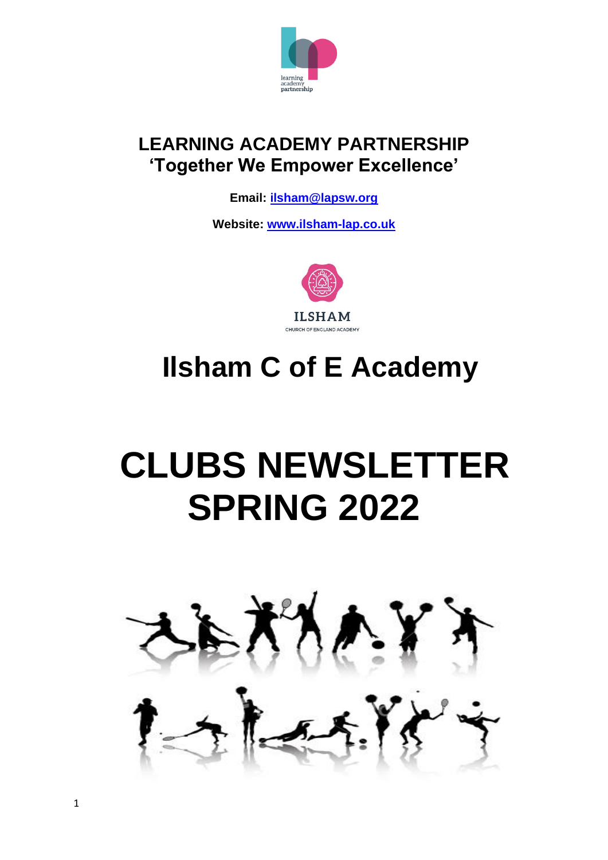

### **LEARNING ACADEMY PARTNERSHIP 'Together We Empower Excellence'**

**Email: [ilsham@lapsw.org](mailto:ilsham@lapsw.org)**

**Website: [www.i](http://www.warberryacademy.co.uk/)lsham-lap.co.uk**



## **Ilsham C of E Academy**

# **CLUBS NEWSLETTER SPRING 2022**

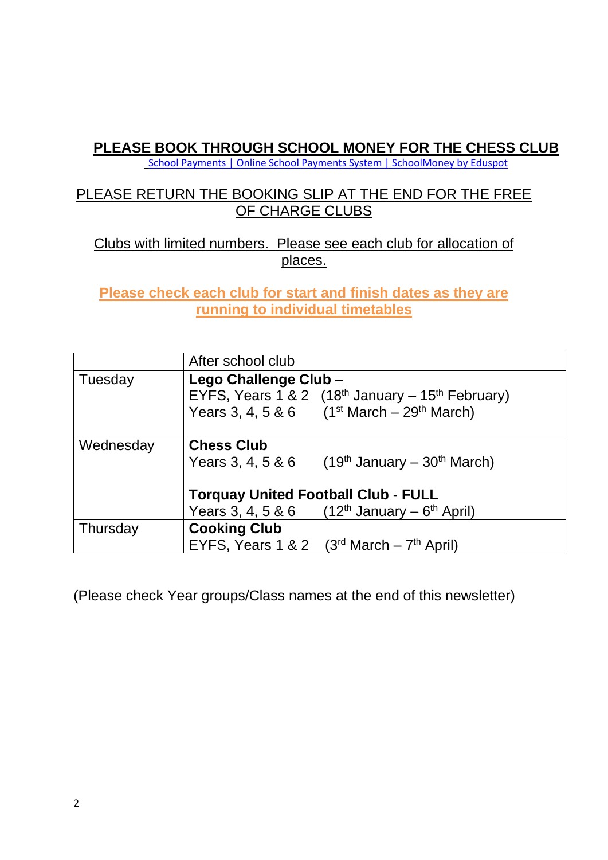#### **PLEASE BOOK THROUGH SCHOOL MONEY FOR THE CHESS CLUB**

[School Payments | Online School Payments System | SchoolMoney by Eduspot](https://eduspot.co.uk/product/schoolmoney/)

#### PLEASE RETURN THE BOOKING SLIP AT THE END FOR THE FREE OF CHARGE CLUBS

#### Clubs with limited numbers. Please see each club for allocation of places.

**Please check each club for start and finish dates as they are running to individual timetables**

|                                            | After school club     |                                                                |  |
|--------------------------------------------|-----------------------|----------------------------------------------------------------|--|
| Tuesday                                    | Lego Challenge Club - |                                                                |  |
|                                            |                       | EYFS, Years 1 & 2 $(18th$ January – 15 <sup>th</sup> February) |  |
|                                            |                       | Years 3, 4, 5 & 6 $(1^{st} March - 29^{th} March)$             |  |
| Wednesday                                  | <b>Chess Club</b>     |                                                                |  |
|                                            | Years 3, 4, 5 & 6     | $(19th$ January – $30th$ March)                                |  |
| <b>Torquay United Football Club - FULL</b> |                       |                                                                |  |
|                                            | Years 3, 4, 5 & 6     | $(12^{th}$ January – 6 <sup>th</sup> April)                    |  |
| Thursday                                   | <b>Cooking Club</b>   |                                                                |  |
|                                            | EYFS, Years 1 & 2     | $(3rd March - 7th April)$                                      |  |

(Please check Year groups/Class names at the end of this newsletter)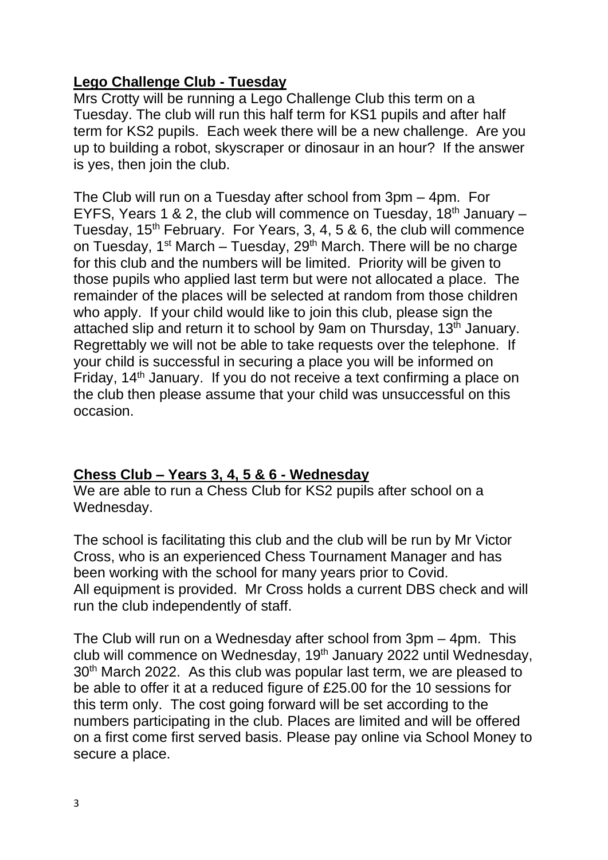#### **Lego Challenge Club - Tuesday**

Mrs Crotty will be running a Lego Challenge Club this term on a Tuesday. The club will run this half term for KS1 pupils and after half term for KS2 pupils. Each week there will be a new challenge. Are you up to building a robot, skyscraper or dinosaur in an hour? If the answer is yes, then join the club.

The Club will run on a Tuesday after school from 3pm – 4pm. For EYFS, Years 1 & 2, the club will commence on Tuesday,  $18<sup>th</sup>$  January – Tuesday,  $15<sup>th</sup>$  February. For Years, 3, 4, 5 & 6, the club will commence on Tuesday, 1<sup>st</sup> March – Tuesday, 29<sup>th</sup> March. There will be no charge for this club and the numbers will be limited. Priority will be given to those pupils who applied last term but were not allocated a place. The remainder of the places will be selected at random from those children who apply. If your child would like to join this club, please sign the attached slip and return it to school by 9am on Thursday, 13<sup>th</sup> January. Regrettably we will not be able to take requests over the telephone. If your child is successful in securing a place you will be informed on Friday, 14<sup>th</sup> January. If you do not receive a text confirming a place on the club then please assume that your child was unsuccessful on this occasion.

#### **Chess Club – Years 3, 4, 5 & 6 - Wednesday**

We are able to run a Chess Club for KS2 pupils after school on a Wednesday.

The school is facilitating this club and the club will be run by Mr Victor Cross, who is an experienced Chess Tournament Manager and has been working with the school for many years prior to Covid. All equipment is provided. Mr Cross holds a current DBS check and will run the club independently of staff.

The Club will run on a Wednesday after school from 3pm – 4pm. This club will commence on Wednesday, 19<sup>th</sup> January 2022 until Wednesday, 30<sup>th</sup> March 2022. As this club was popular last term, we are pleased to be able to offer it at a reduced figure of £25.00 for the 10 sessions for this term only. The cost going forward will be set according to the numbers participating in the club. Places are limited and will be offered on a first come first served basis. Please pay online via School Money to secure a place.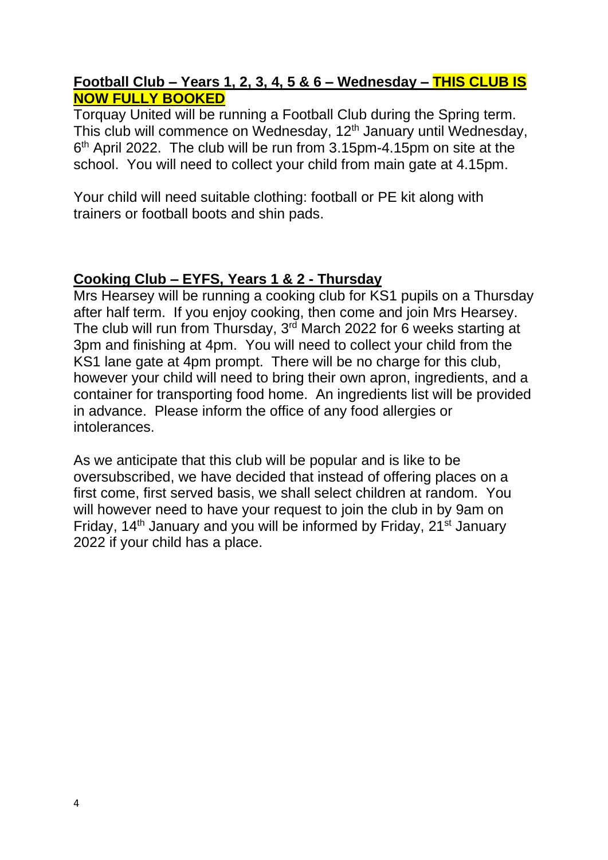#### **Football Club – Years 1, 2, 3, 4, 5 & 6 – Wednesday – THIS CLUB IS NOW FULLY BOOKED**

Torquay United will be running a Football Club during the Spring term. This club will commence on Wednesday, 12<sup>th</sup> January until Wednesday, 6<sup>th</sup> April 2022. The club will be run from 3.15pm-4.15pm on site at the school. You will need to collect your child from main gate at 4.15pm.

Your child will need suitable clothing: football or PE kit along with trainers or football boots and shin pads.

#### **Cooking Club – EYFS, Years 1 & 2 - Thursday**

Mrs Hearsey will be running a cooking club for KS1 pupils on a Thursday after half term. If you enjoy cooking, then come and join Mrs Hearsey. The club will run from Thursday, 3<sup>rd</sup> March 2022 for 6 weeks starting at 3pm and finishing at 4pm. You will need to collect your child from the KS1 lane gate at 4pm prompt. There will be no charge for this club, however your child will need to bring their own apron, ingredients, and a container for transporting food home. An ingredients list will be provided in advance. Please inform the office of any food allergies or intolerances.

As we anticipate that this club will be popular and is like to be oversubscribed, we have decided that instead of offering places on a first come, first served basis, we shall select children at random. You will however need to have your request to join the club in by 9am on Friday, 14<sup>th</sup> January and you will be informed by Friday, 21<sup>st</sup> January 2022 if your child has a place.